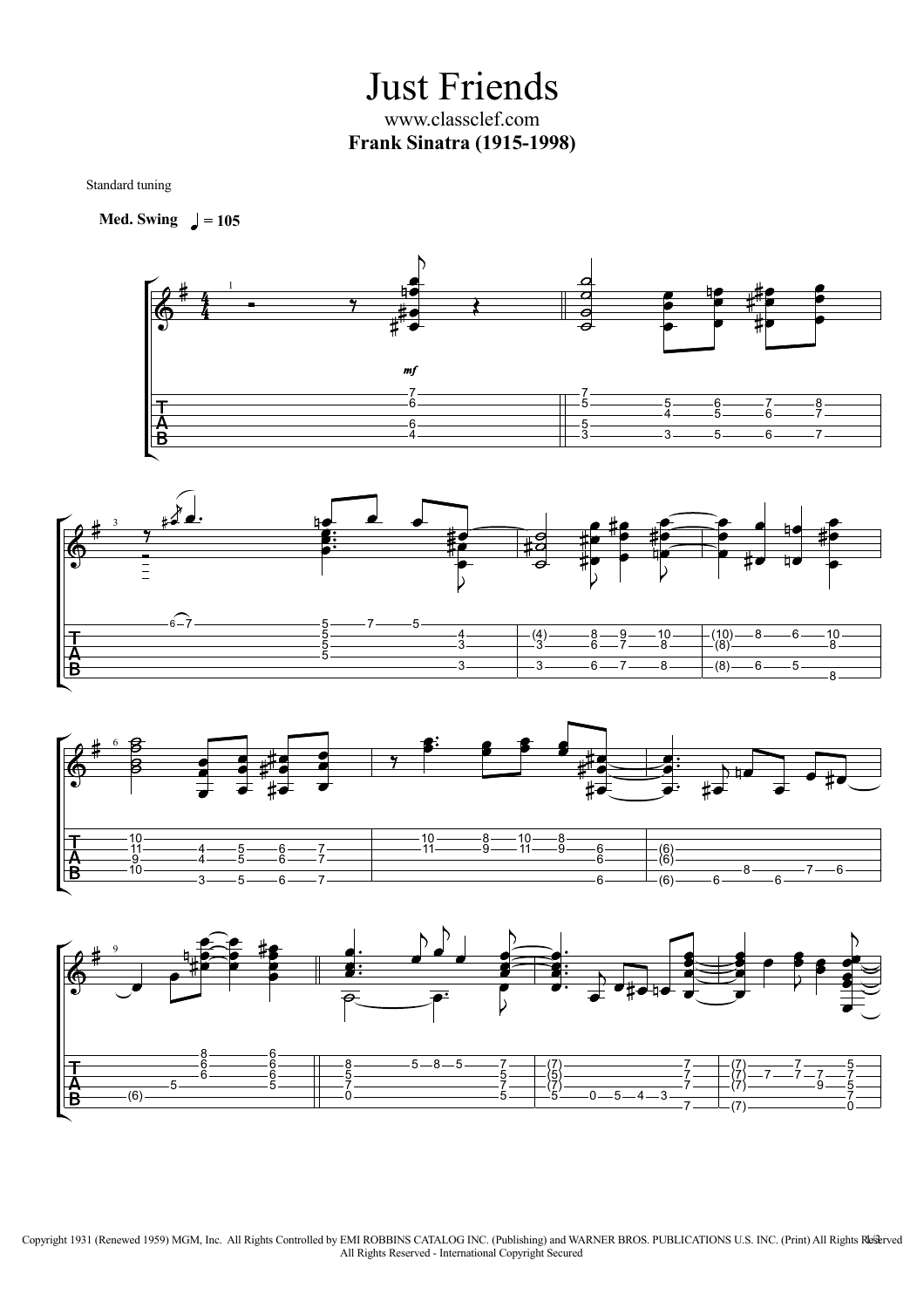Just Friends www.classclef.com **Frank Sinatra (1915-1998)**

Standard tuning

**Med.** Swing  $= 105$ 



Copyright 1931 (Renewed 1959) MGM, Inc. All Rights Controlled by EMI ROBBINS CATALOG INC. (Publishing) and WARNER BROS. PUBLICATIONS U.S. INC. (Print) All Rights Rbs3erved All Rights Reserved - International Copyright Secured

(7)

 $\dot{0}$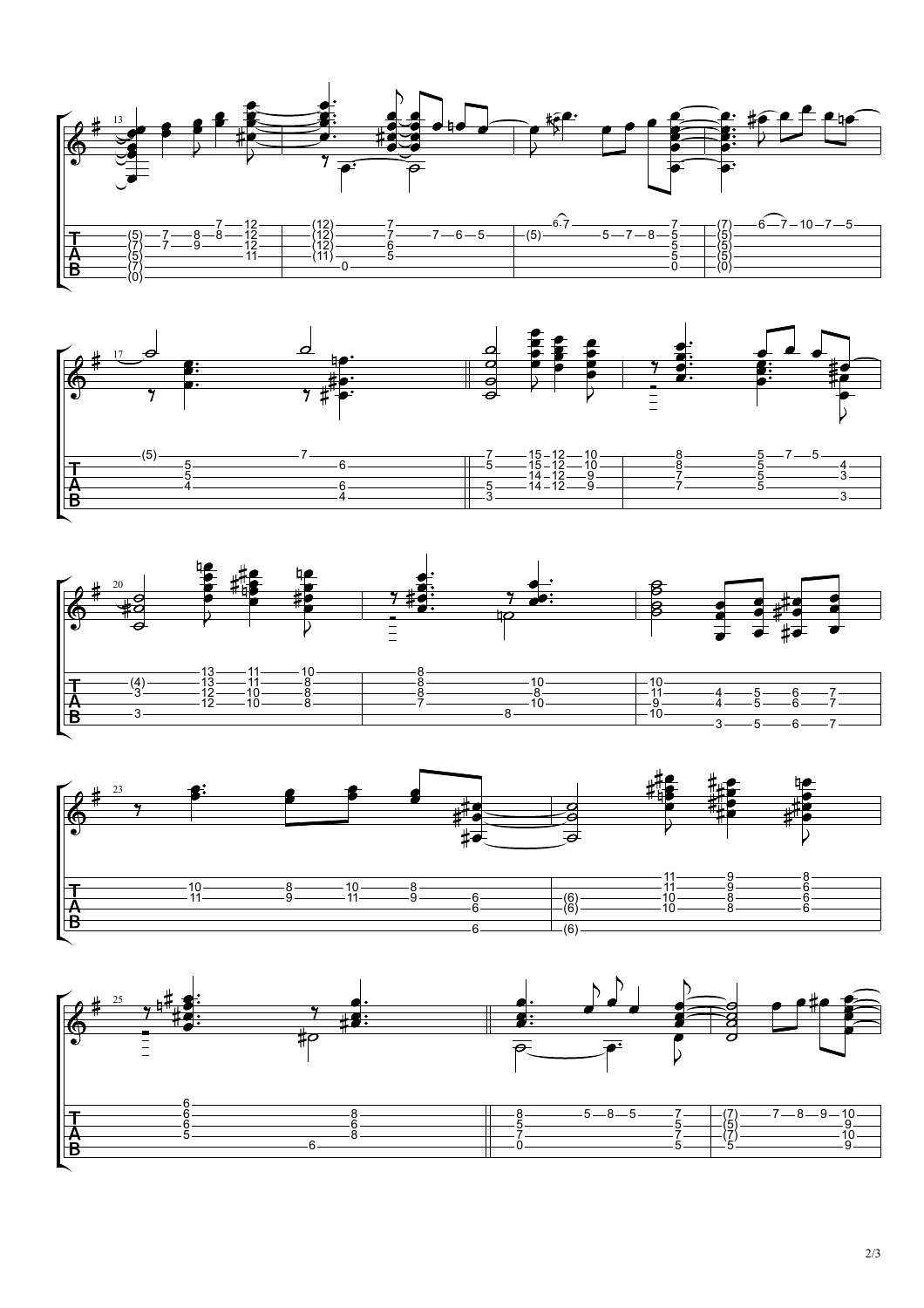